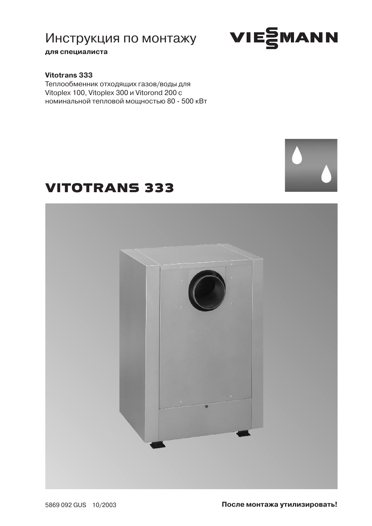Инструкция по монтажу

#### для специалиста

#### Vitotrans 333

Теплообменник отходящих газов/воды для Vitoplex 100, Vitoplex 300 и Vitorond 200 с номинальной тепловой мощностью 80 - 500 кВт

# **VITOTRANS 333**





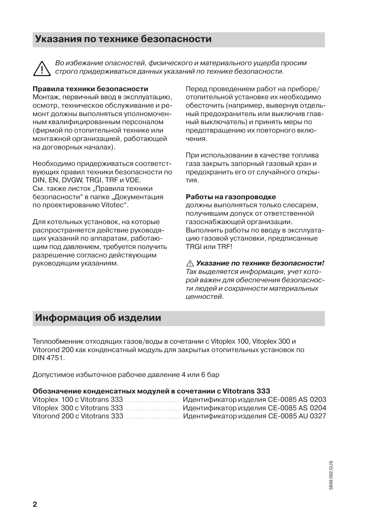### Указания по технике безопасности



Во избежание опасностей, физического и материального ушерба просим строго придерживаться данных указаний по технике безопасности.

#### Правила техники безопасности

Монтаж, первичный ввод в эксплуатацию, осмотр, техническое обслуживание и ремонт должны выполняться уполномоченным квалифицированным персоналом (фирмой по отопительной технике или монтажной организацией, работающей на договорных началах).

Необходимо придерживаться соответствующих правил техники безопасности по DIN, EN, DVGW, TRGI, TRF и VDE. См. также листок "Правила техники безопасности" в папке "Документация по проектированию Vitotec".

Для котельных установок, на которые распространяется действие руководяших указаний по аппаратам, работающим под давлением, требуется получить разрешение согласно действующим руководящим указаниям.

Перед проведением работ на приборе/ отопительной установке их необходимо обесточить (например, вывернув отдельный предохранитель или выключив главный выключатель) и принять меры по предотвращению их повторного включения.

При использовании в качестве топлива газа закрыть запорный газовый кран и предохранить его от случайного открытия.

#### Работы на газопроводке

должны выполняться только слесарем. получившим допуск от ответственной газоснабжающей организации. Выполнить работы по вводу в эксплуатацию газовой установки, предписанные **TRGI или TRFI** 

#### ∧ Указание по технике безопасности!

Так выделяется информация, учет которой важен для обеспечения безопасности людей и сохранности материальных ценностей.

## Информация об изделии

Теплообменник отходящих газов/воды в сочетании с Vitoplex 100, Vitoplex 300 и Vitorond 200 как конденсатный модуль для закрытых отопительных установок по **DIN 4751** 

Допустимое избыточное рабочее давление 4 или 6 бар

#### Обозначение конденсатных модулей в сочетании с Vitotrans 333

| Идентификатор изделия CE-0085 AS 0203 |
|---------------------------------------|
| Идентификатор изделия CE-0085 AS 0204 |
| Идентификатор изделия CE-0085 AU 0327 |
|                                       |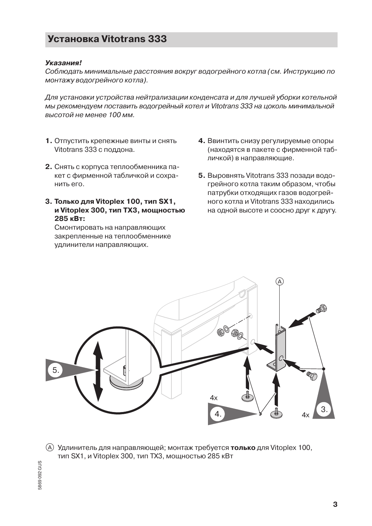## **Установка Vitotrans 333**

#### **V**<sub>E</sub>a<sub>3</sub>a<sub>HMa</sub>

Соблюдать минимальные расстояния вокруг водогрейного котла (см. Инструкцию по монтажу водогрейного котла).

Для установки устройства нейтрализации конденсата и для лучшей уборки котельной мы рекомендуем поставить водогрейный котел и Vitotrans 333 на цоколь минимальной высотой не менее 100 мм.

- 1. Отпустить крепежные винты и снять Vitotrans 333 с поддона.
- 2. Снять с корпуса теплообменника пакет с фирменной табличкой и сохранить его.
- 3. Только для Vitoplex 100, тип SX1, и Vitoplex 300, тип ТХЗ, мощностью 285 кВт:

Смонтировать на направляющих закрепленные на теплообменнике удлинители направляющих.

- 4. Ввинтить снизу регулируемые опоры (находятся в пакете с фирменной табличкой) в направляющие.
- 5. Выровнять Vitotrans 333 позади водогрейного котла таким образом, чтобы патрубки отходящих газов водогрейного котла и Vitotrans 333 находились на одной высоте и соосно друг к другу.



(А) Удлинитель для направляющей; монтаж требуется только для Vitoplex 100, тип SX1, и Vitoplex 300, тип TX3, мощностью 285 кВт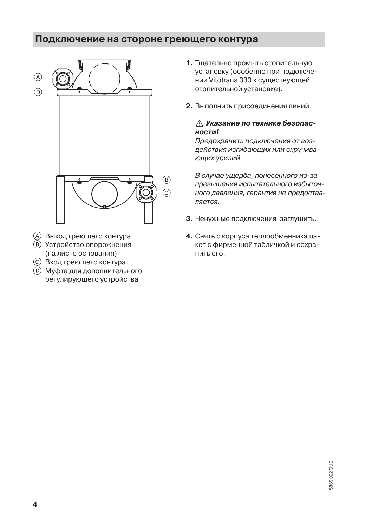### Подключение на стороне греющего контура



- (A) Выход греющего контура
- **(B)** Устройство опорожнения (на листе основания)
- (С) Вход греющего контура
- **(D) Муфта для дополнительного** регулирующего устройства
- 1. Тшательно промыть отопительную установку (особенно при подключении Vitotrans 333 к существующей отопительной установке).
- 2. Выполнить присоединения линий.

#### ∧ Указание по технике безопасности!

Предохранить подключения от воздействия изгибающих или скручивающих усилий.

В случае ущерба, понесенного из-за превышения испытательного избыточного давления, гарантия не предоставляется.

- 3. Ненужные подключения заглушить.
- 4. Снять с корпуса теплообменника пакет с фирменной табличкой и сохранить его.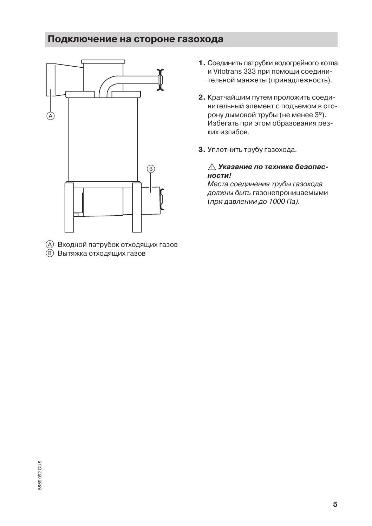## Подключение на стороне газохода



(A) Входной патрубок отходящих газов **(B) Вытяжка отходящих газов** 

- 1. Соединить патрубки водогрейного котла и Vitotrans 333 при помощи соединительной манжеты (принадлежность).
- 2. Кратчайшим путем проложить соединительный элемент с подъемом в сторону дымовой трубы (не менее 3°). Избегать при этом образования резких изгибов.
- 3. Уплотнить трубу газохода.

#### ∧ Указание по технике безопасности!

Места соединения трубы газохода должны быть газонепроницаемыми (при давлении до 1000 Па).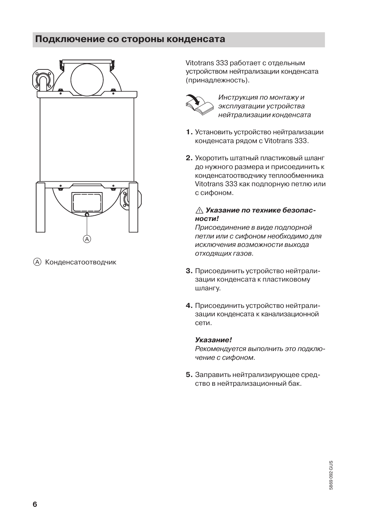### Подключение со стороны конденсата



**(A)** Конденсатоотводчик

Vitotrans 333 работает с отдельным устройством нейтрализации конденсата (принадлежность).



Инструкция по монтажу и эксплуатации устройства нейтрализации конденсата

- 1. Установить устройство нейтрализации конденсата рядом с Vitotrans 333.
- 2. Укоротить штатный пластиковый шланг до нужного размера и присоединить к конденсатоотводчику теплообменника Vitotrans 333 как подпорную петлю или с сифоном.

#### ∧ Указание по технике безопасности!

Присоединение в виде подпорной петли или с сифоном необходимо для исключения возможности выхода отходящих газов.

- 3. Присоединить устройство нейтрализации конденсата к пластиковому шлангу.
- 4. Присоединить устройство нейтрализации конденсата к канализационной сети.

#### Указание!

Рекомендуется выполнить это подключение с сифоном.

5. Заправить нейтрализирующее средство в нейтрализационный бак.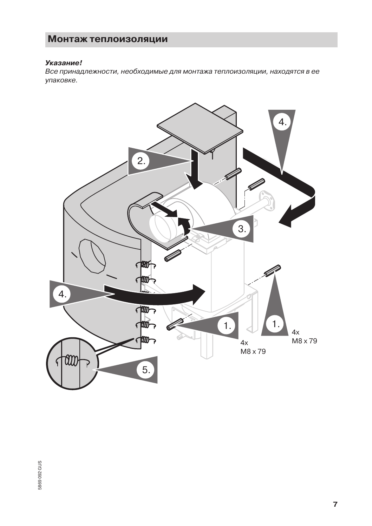## Монтаж теплоизоляции

#### Указание!

Все принадлежности, необходимые для монтажа теплоизоляции, находятся в ее упаковке.

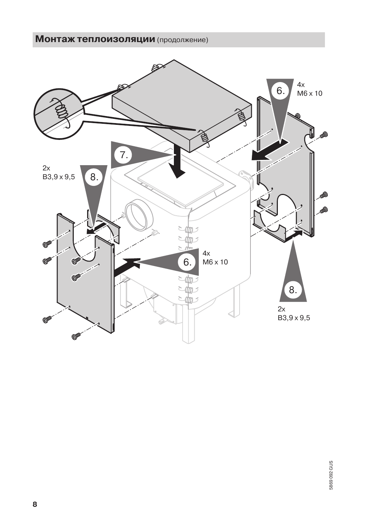

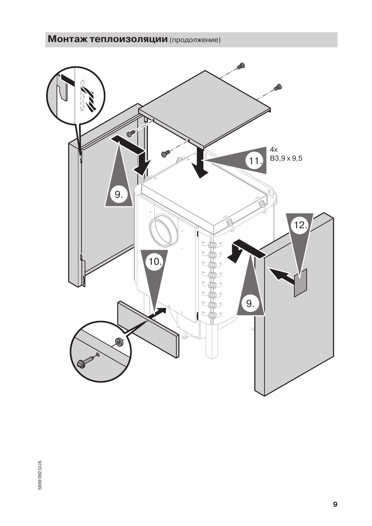## Монтаж теплоизоляции (продолжение)

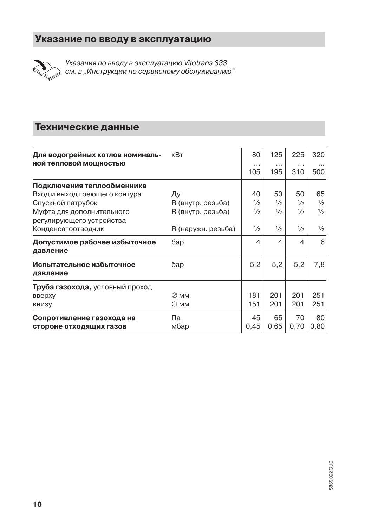## Указание по вводу в эксплуатацию



Указания по вводу в эксплуатацию Vitotrans 333 см. в "Инструкции по сервисному обслуживанию"

## Технические данные

| Для водогрейных котлов номиналь-                      | кВт                | 80              | 125             | 225           | 320           |
|-------------------------------------------------------|--------------------|-----------------|-----------------|---------------|---------------|
| ной тепловой мощностью                                |                    | $\cdots$<br>105 | $\cdots$<br>195 | .<br>310      | 500           |
| Подключения теплообменника                            |                    |                 |                 |               |               |
| Вход и выход греющего контура                         | Ду                 | 40              | 50              | 50            | 65            |
| Спускной патрубок                                     | R (внутр. резьба)  | $\frac{1}{2}$   | $\frac{1}{2}$   | $\frac{1}{2}$ | $\frac{1}{2}$ |
| Муфта для дополнительного<br>регулирующего устройства | R (внутр. резьба)  | $\frac{1}{2}$   | $\frac{1}{2}$   | $\frac{1}{2}$ | $\frac{1}{2}$ |
| Конденсатоотводчик                                    | R (наружн. резьба) | $\frac{1}{2}$   | $\frac{1}{2}$   | $\frac{1}{2}$ | $\frac{1}{2}$ |
| Допустимое рабочее избыточное<br>давление             | бар                | 4               | 4               | 4             | 6             |
| Испытательное избыточное<br>давление                  | бар                | 5,2             | 5,2             | 5,2           | 7,8           |
| <b>Труба газохода,</b> условный проход                |                    |                 |                 |               |               |
| вверху                                                | $\varnothing$ mm   | 181             | 201             | 201           | 251           |
| внизу                                                 | $\varnothing$ mm   | 151             | 201             | 201           | 251           |
| Сопротивление газохода на                             | Па                 | 45              | 65              | 70            | 80            |
| стороне отходящих газов                               | мбар               | 0,45            | 0.65            | 0,70          | 0,80          |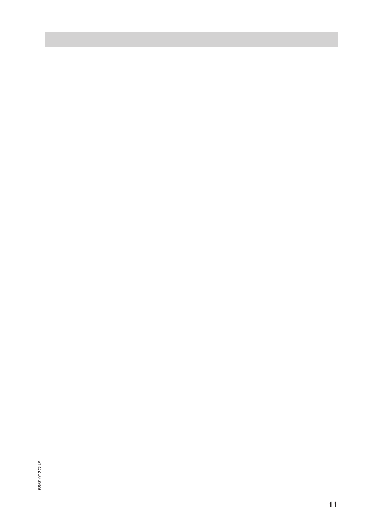5869092 GUS